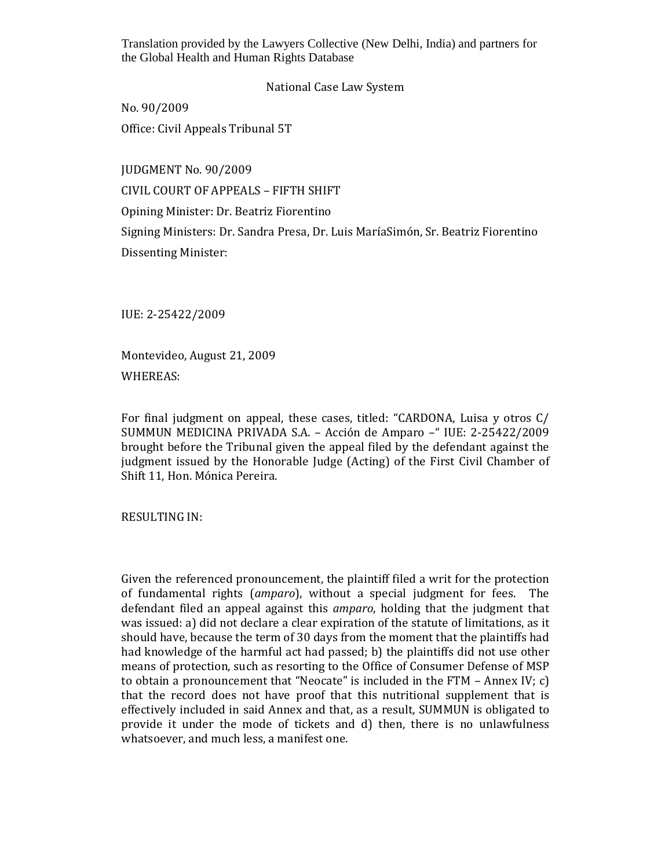National Case Law System

No. 90/2009 Office: Civil Appeals Tribunal 5T

JUDGMENT No. 90/2009 CIVIL COURT OF APPEALS – FIFTH SHIFT Opining Minister: Dr. Beatriz Fiorentino Signing Ministers: Dr. Sandra Presa, Dr. Luis MaríaSimón, Sr. Beatriz Fiorentino Dissenting Minister:

IUE: 2-25422/2009

Montevideo, August 21, 2009 WHEREAS:

For final judgment on appeal, these cases, titled: "CARDONA, Luisa y otros C/ SUMMUN MEDICINA PRIVADA S.A. – Acción de Amparo –" IUE: 2-25422/2009 brought before the Tribunal given the appeal filed by the defendant against the judgment issued by the Honorable Judge (Acting) of the First Civil Chamber of Shift 11, Hon. Mónica Pereira.

RESULTING IN:

Given the referenced pronouncement, the plaintiff filed a writ for the protection of fundamental rights (*amparo*), without a special judgment for fees. The defendant filed an appeal against this *amparo*, holding that the judgment that was issued: a) did not declare a clear expiration of the statute of limitations, as it should have, because the term of 30 days from the moment that the plaintiffs had had knowledge of the harmful act had passed; b) the plaintiffs did not use other means of protection, such as resorting to the Office of Consumer Defense of MSP to obtain a pronouncement that "Neocate" is included in the FTM – Annex IV; c) that the record does not have proof that this nutritional supplement that is effectively included in said Annex and that, as a result, SUMMUN is obligated to provide it under the mode of tickets and d) then, there is no unlawfulness whatsoever, and much less, a manifest one.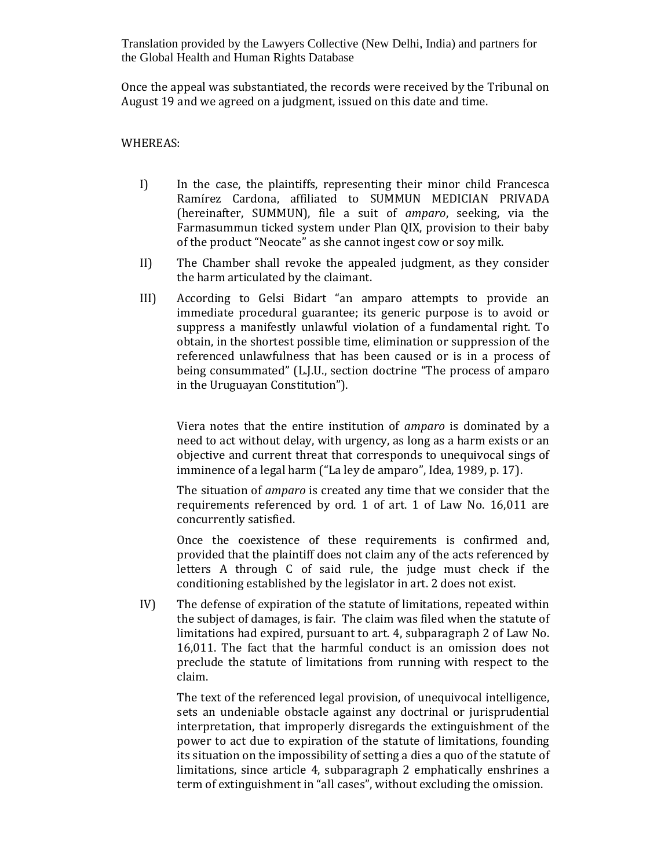Once the appeal was substantiated, the records were received by the Tribunal on August 19 and we agreed on a judgment, issued on this date and time.

WHEREAS:

- I) In the case, the plaintiffs, representing their minor child Francesca Ramírez Cardona, affiliated to SUMMUN MEDICIAN PRIVADA (hereinafter, SUMMUN), file a suit of *amparo*, seeking, via the Farmasummun ticked system under Plan QIX, provision to their baby of the product "Neocate" as she cannot ingest cow or soy milk.
- II) The Chamber shall revoke the appealed judgment, as they consider the harm articulated by the claimant.
- III) According to Gelsi Bidart "an amparo attempts to provide an immediate procedural guarantee; its generic purpose is to avoid or suppress a manifestly unlawful violation of a fundamental right. To obtain, in the shortest possible time, elimination or suppression of the referenced unlawfulness that has been caused or is in a process of being consummated" (L.J.U., section doctrine "The process of amparo in the Uruguayan Constitution").

Viera notes that the entire institution of *amparo* is dominated by a need to act without delay, with urgency, as long as a harm exists or an objective and current threat that corresponds to unequivocal sings of imminence of a legal harm ("La ley de amparo", Idea, 1989, p. 17).

The situation of *amparo* is created any time that we consider that the requirements referenced by ord. 1 of art. 1 of Law No. 16,011 are concurrently satisfied.

Once the coexistence of these requirements is confirmed and, provided that the plaintiff does not claim any of the acts referenced by letters A through C of said rule, the judge must check if the conditioning established by the legislator in art. 2 does not exist.

IV) The defense of expiration of the statute of limitations, repeated within the subject of damages, is fair. The claim was filed when the statute of limitations had expired, pursuant to art. 4, subparagraph 2 of Law No. 16,011. The fact that the harmful conduct is an omission does not preclude the statute of limitations from running with respect to the claim.

The text of the referenced legal provision, of unequivocal intelligence, sets an undeniable obstacle against any doctrinal or jurisprudential interpretation, that improperly disregards the extinguishment of the power to act due to expiration of the statute of limitations, founding its situation on the impossibility of setting a dies a quo of the statute of limitations, since article 4, subparagraph 2 emphatically enshrines a term of extinguishment in "all cases", without excluding the omission.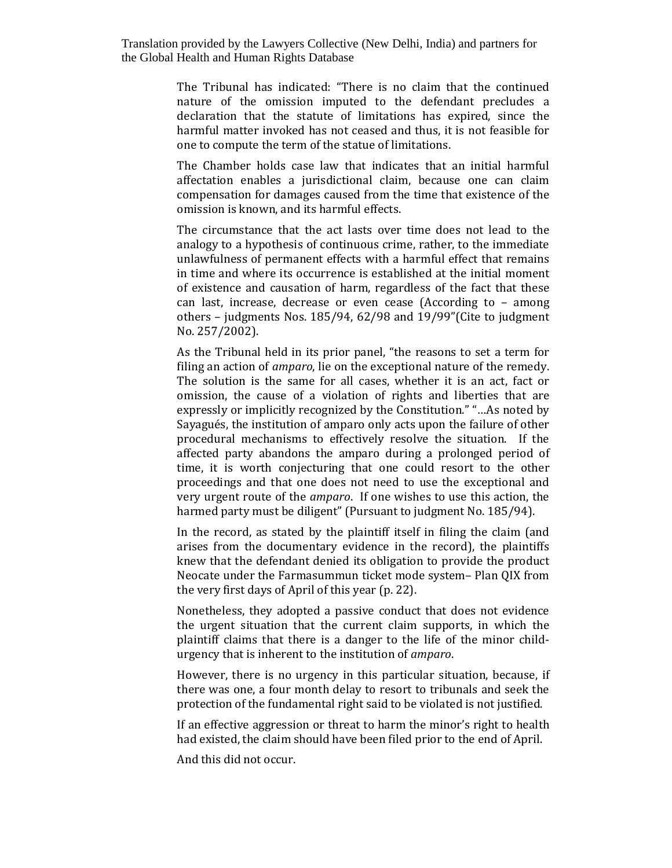> The Tribunal has indicated: "There is no claim that the continued nature of the omission imputed to the defendant precludes a declaration that the statute of limitations has expired, since the harmful matter invoked has not ceased and thus, it is not feasible for one to compute the term of the statue of limitations.

> The Chamber holds case law that indicates that an initial harmful affectation enables a jurisdictional claim, because one can claim compensation for damages caused from the time that existence of the omission is known, and its harmful effects.

> The circumstance that the act lasts over time does not lead to the analogy to a hypothesis of continuous crime, rather, to the immediate unlawfulness of permanent effects with a harmful effect that remains in time and where its occurrence is established at the initial moment of existence and causation of harm, regardless of the fact that these can last, increase, decrease or even cease (According to – among others – judgments Nos. 185/94, 62/98 and 19/99"(Cite to judgment No. 257/2002).

> As the Tribunal held in its prior panel, "the reasons to set a term for filing an action of *amparo*, lie on the exceptional nature of the remedy. The solution is the same for all cases, whether it is an act, fact or omission, the cause of a violation of rights and liberties that are expressly or implicitly recognized by the Constitution." "…As noted by Sayagués, the institution of amparo only acts upon the failure of other procedural mechanisms to effectively resolve the situation. If the affected party abandons the amparo during a prolonged period of time, it is worth conjecturing that one could resort to the other proceedings and that one does not need to use the exceptional and very urgent route of the *amparo*. If one wishes to use this action, the harmed party must be diligent" (Pursuant to judgment No. 185/94).

> In the record, as stated by the plaintiff itself in filing the claim (and arises from the documentary evidence in the record), the plaintiffs knew that the defendant denied its obligation to provide the product Neocate under the Farmasummun ticket mode system– Plan QIX from the very first days of April of this year (p. 22).

> Nonetheless, they adopted a passive conduct that does not evidence the urgent situation that the current claim supports, in which the plaintiff claims that there is a danger to the life of the minor childurgency that is inherent to the institution of *amparo*.

> However, there is no urgency in this particular situation, because, if there was one, a four month delay to resort to tribunals and seek the protection of the fundamental right said to be violated is not justified.

> If an effective aggression or threat to harm the minor's right to health had existed, the claim should have been filed prior to the end of April.

And this did not occur.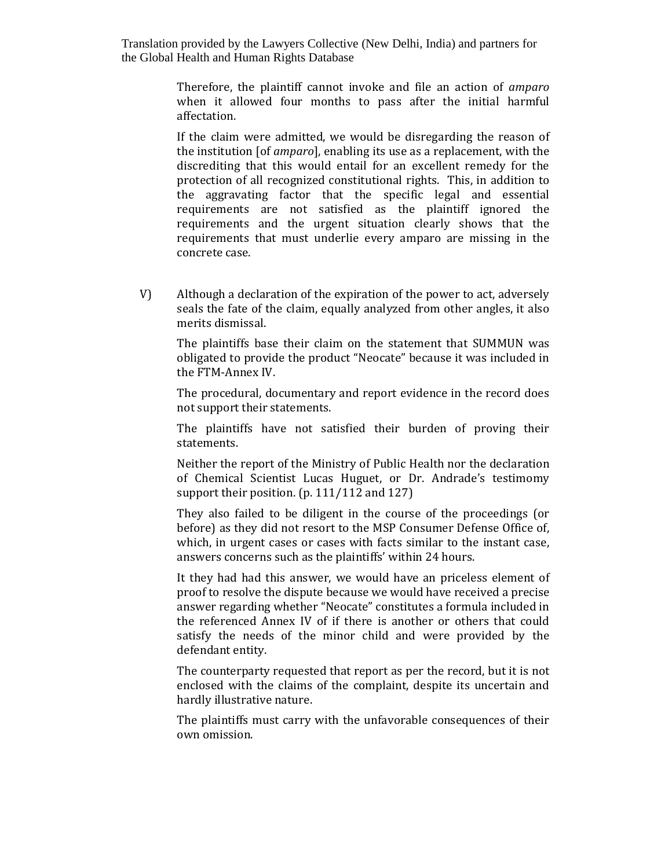> Therefore, the plaintiff cannot invoke and file an action of *amparo* when it allowed four months to pass after the initial harmful affectation.

> If the claim were admitted, we would be disregarding the reason of the institution [of *amparo*], enabling its use as a replacement, with the discrediting that this would entail for an excellent remedy for the protection of all recognized constitutional rights. This, in addition to the aggravating factor that the specific legal and essential requirements are not satisfied as the plaintiff ignored the requirements and the urgent situation clearly shows that the requirements that must underlie every amparo are missing in the concrete case.

V) Although a declaration of the expiration of the power to act, adversely seals the fate of the claim, equally analyzed from other angles, it also merits dismissal.

The plaintiffs base their claim on the statement that SUMMUN was obligated to provide the product "Neocate" because it was included in the FTM-Annex IV.

The procedural, documentary and report evidence in the record does not support their statements.

The plaintiffs have not satisfied their burden of proving their statements.

Neither the report of the Ministry of Public Health nor the declaration of Chemical Scientist Lucas Huguet, or Dr. Andrade's testimomy support their position. (p. 111/112 and 127)

They also failed to be diligent in the course of the proceedings (or before) as they did not resort to the MSP Consumer Defense Office of, which, in urgent cases or cases with facts similar to the instant case, answers concerns such as the plaintiffs' within 24 hours.

It they had had this answer, we would have an priceless element of proof to resolve the dispute because we would have received a precise answer regarding whether "Neocate" constitutes a formula included in the referenced Annex IV of if there is another or others that could satisfy the needs of the minor child and were provided by the defendant entity.

The counterparty requested that report as per the record, but it is not enclosed with the claims of the complaint, despite its uncertain and hardly illustrative nature.

The plaintiffs must carry with the unfavorable consequences of their own omission.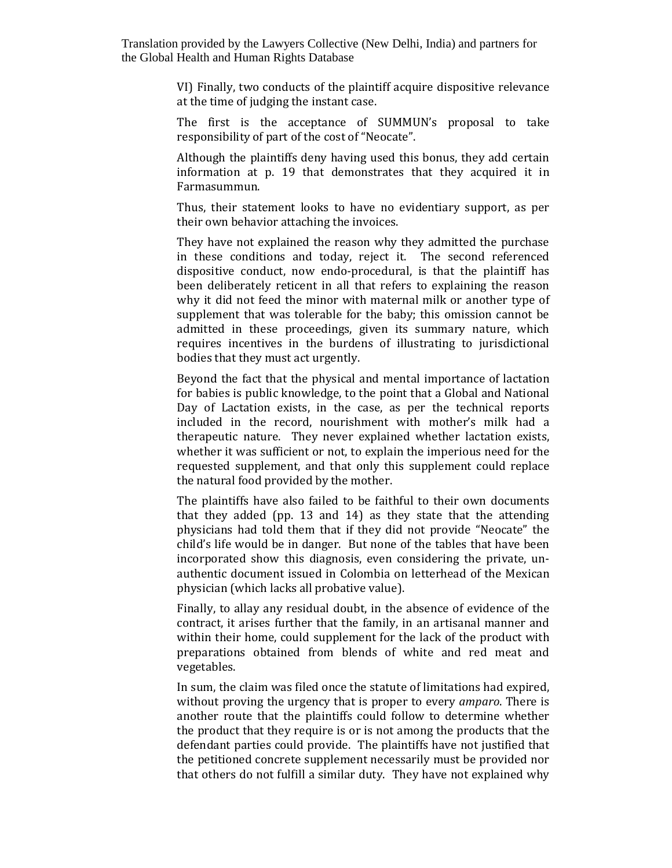> VI) Finally, two conducts of the plaintiff acquire dispositive relevance at the time of judging the instant case.

> The first is the acceptance of SUMMUN's proposal to take responsibility of part of the cost of "Neocate".

> Although the plaintiffs deny having used this bonus, they add certain information at p. 19 that demonstrates that they acquired it in Farmasummun.

> Thus, their statement looks to have no evidentiary support, as per their own behavior attaching the invoices.

> They have not explained the reason why they admitted the purchase in these conditions and today, reject it. The second referenced dispositive conduct, now endo-procedural, is that the plaintiff has been deliberately reticent in all that refers to explaining the reason why it did not feed the minor with maternal milk or another type of supplement that was tolerable for the baby; this omission cannot be admitted in these proceedings, given its summary nature, which requires incentives in the burdens of illustrating to jurisdictional bodies that they must act urgently.

> Beyond the fact that the physical and mental importance of lactation for babies is public knowledge, to the point that a Global and National Day of Lactation exists, in the case, as per the technical reports included in the record, nourishment with mother's milk had a therapeutic nature. They never explained whether lactation exists, whether it was sufficient or not, to explain the imperious need for the requested supplement, and that only this supplement could replace the natural food provided by the mother.

> The plaintiffs have also failed to be faithful to their own documents that they added (pp. 13 and 14) as they state that the attending physicians had told them that if they did not provide "Neocate" the child's life would be in danger. But none of the tables that have been incorporated show this diagnosis, even considering the private, unauthentic document issued in Colombia on letterhead of the Mexican physician (which lacks all probative value).

> Finally, to allay any residual doubt, in the absence of evidence of the contract, it arises further that the family, in an artisanal manner and within their home, could supplement for the lack of the product with preparations obtained from blends of white and red meat and vegetables.

> In sum, the claim was filed once the statute of limitations had expired, without proving the urgency that is proper to every *amparo*. There is another route that the plaintiffs could follow to determine whether the product that they require is or is not among the products that the defendant parties could provide. The plaintiffs have not justified that the petitioned concrete supplement necessarily must be provided nor that others do not fulfill a similar duty. They have not explained why